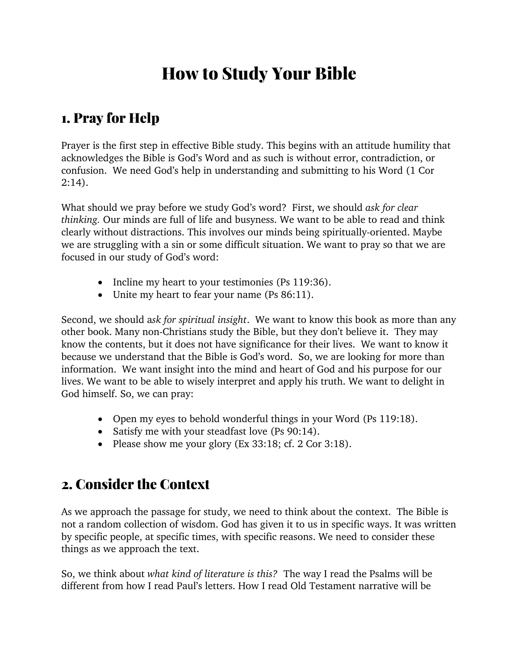# How to Study Your Bible

#### 1. Pray for Help

Prayer is the first step in effective Bible study. This begins with an attitude humility that acknowledges the Bible is God's Word and as such is without error, contradiction, or confusion. We need God's help in understanding and submitting to his Word (1 Cor  $2:14$ ).

What should we pray before we study God's word? First, we should *ask for clear thinking.* Our minds are full of life and busyness. We want to be able to read and think clearly without distractions. This involves our minds being spiritually-oriented. Maybe we are struggling with a sin or some difficult situation. We want to pray so that we are focused in our study of God's word:

- Incline my heart to your testimonies (Ps 119:36).
- Unite my heart to fear your name (Ps 86:11).

Second, we should a*sk for spiritual insight*. We want to know this book as more than any other book. Many non-Christians study the Bible, but they don't believe it. They may know the contents, but it does not have significance for their lives. We want to know it because we understand that the Bible is God's word. So, we are looking for more than information. We want insight into the mind and heart of God and his purpose for our lives. We want to be able to wisely interpret and apply his truth. We want to delight in God himself. So, we can pray:

- Open my eyes to behold wonderful things in your Word (Ps 119:18).
- Satisfy me with your steadfast love (Ps 90:14).
- Please show me your glory (Ex 33:18; cf. 2 Cor 3:18).

### 2. Consider the Context

As we approach the passage for study, we need to think about the context. The Bible is not a random collection of wisdom. God has given it to us in specific ways. It was written by specific people, at specific times, with specific reasons. We need to consider these things as we approach the text.

So, we think about *what kind of literature is this?*The way I read the Psalms will be different from how I read Paul's letters. How I read Old Testament narrative will be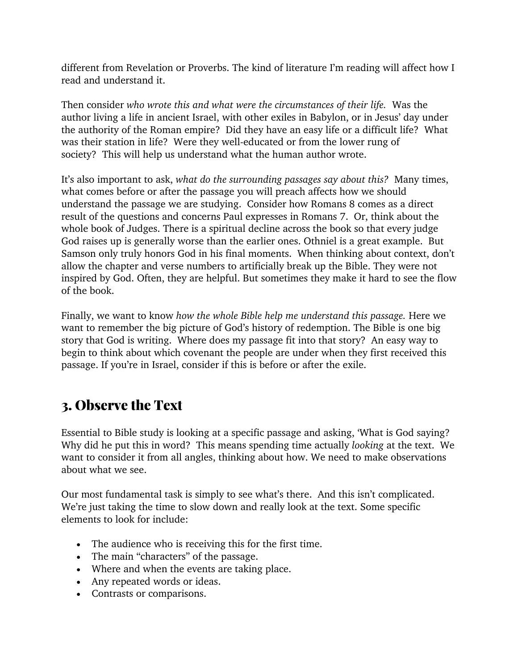different from Revelation or Proverbs. The kind of literature I'm reading will affect how I read and understand it.

Then consider *who wrote this and what were the circumstances of their life.* Was the author living a life in ancient Israel, with other exiles in Babylon, or in Jesus' day under the authority of the Roman empire? Did they have an easy life or a difficult life? What was their station in life? Were they well-educated or from the lower rung of society? This will help us understand what the human author wrote.

It's also important to ask, *what do the surrounding passages say about this?* Many times, what comes before or after the passage you will preach affects how we should understand the passage we are studying. Consider how Romans 8 comes as a direct result of the questions and concerns Paul expresses in Romans 7. Or, think about the whole book of Judges. There is a spiritual decline across the book so that every judge God raises up is generally worse than the earlier ones. Othniel is a great example. But Samson only truly honors God in his final moments. When thinking about context, don't allow the chapter and verse numbers to artificially break up the Bible. They were not inspired by God. Often, they are helpful. But sometimes they make it hard to see the flow of the book.

Finally, we want to know *how the whole Bible help me understand this passage.* Here we want to remember the big picture of God's history of redemption. The Bible is one big story that God is writing. Where does my passage fit into that story? An easy way to begin to think about which covenant the people are under when they first received this passage. If you're in Israel, consider if this is before or after the exile.

### 3. Observe the Text

Essential to Bible study is looking at a specific passage and asking, 'What is God saying? Why did he put this in word? This means spending time actually *looking* at the text. We want to consider it from all angles, thinking about how. We need to make observations about what we see.

Our most fundamental task is simply to see what's there. And this isn't complicated. We're just taking the time to slow down and really look at the text. Some specific elements to look for include:

- The audience who is receiving this for the first time.
- The main "characters" of the passage.
- Where and when the events are taking place.
- Any repeated words or ideas.
- Contrasts or comparisons.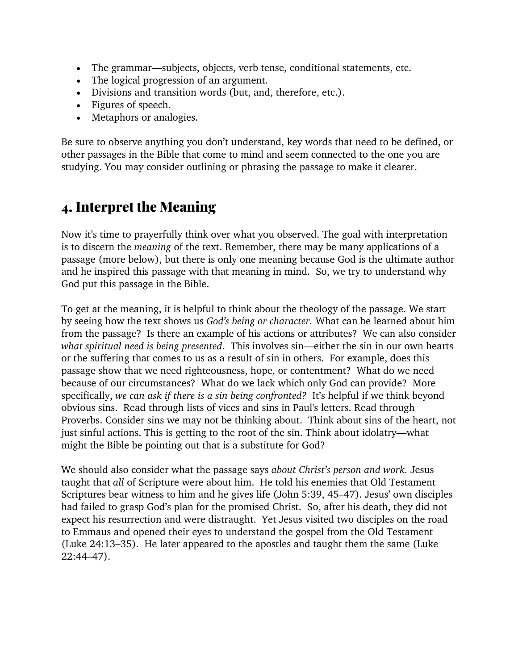- The grammar—subjects, objects, verb tense, conditional statements, etc.
- The logical progression of an argument.
- Divisions and transition words (but, and, therefore, etc.).
- Figures of speech.
- Metaphors or analogies.

Be sure to observe anything you don't understand, key words that need to be defined, or other passages in the Bible that come to mind and seem connected to the one you are studying. You may consider outlining or phrasing the passage to make it clearer.

### 4. Interpret the Meaning

Now it's time to prayerfully think over what you observed. The goal with interpretation is to discern the *meaning* of the text. Remember, there may be many applications of a passage (more below), but there is only one meaning because God is the ultimate author and he inspired this passage with that meaning in mind. So, we try to understand why God put this passage in the Bible.

To get at the meaning, it is helpful to think about the theology of the passage. We start by seeing how the text shows us *God's being or character.* What can be learned about him from the passage? Is there an example of his actions or attributes? We can also consider *what spiritual need is being presented*. This involves sin—either the sin in our own hearts or the suffering that comes to us as a result of sin in others. For example, does this passage show that we need righteousness, hope, or contentment? What do we need because of our circumstances? What do we lack which only God can provide? More specifically, *we can ask if there is a sin being confronted?* It's helpful if we think beyond obvious sins. Read through lists of vices and sins in Paul's letters. Read through Proverbs. Consider sins we may not be thinking about. Think about sins of the heart, not just sinful actions. This is getting to the root of the sin. Think about idolatry—what might the Bible be pointing out that is a substitute for God?

We should also consider what the passage says *about Christ's person and work.* Jesus taught that *all* of Scripture were about him. He told his enemies that Old Testament Scriptures bear witness to him and he gives life (John 5:39, 45–47). Jesus' own disciples had failed to grasp God's plan for the promised Christ. So, after his death, they did not expect his resurrection and were distraught. Yet Jesus visited two disciples on the road to Emmaus and opened their eyes to understand the gospel from the Old Testament (Luke 24:13–35). He later appeared to the apostles and taught them the same (Luke 22:44–47).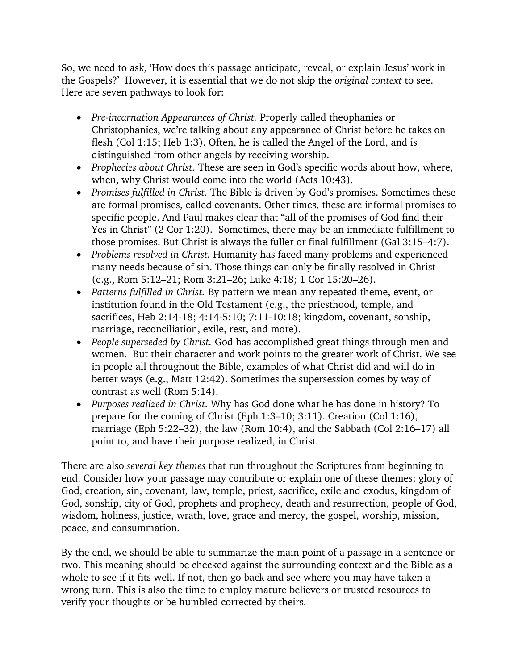So, we need to ask, 'How does this passage anticipate, reveal, or explain Jesus' work in the Gospels?' However, it is essential that we do not skip the *original context* to see. Here are seven pathways to look for:

- *Pre-incarnation Appearances of Christ.* Properly called theophanies or Christophanies, we're talking about any appearance of Christ before he takes on flesh (Col 1:15; Heb 1:3). Often, he is called the Angel of the Lord, and is distinguished from other angels by receiving worship.
- *Prophecies about Christ.* These are seen in God's specific words about how, where, when, why Christ would come into the world (Acts 10:43).
- *Promises fulfilled in Christ.* The Bible is driven by God's promises. Sometimes these are formal promises, called covenants. Other times, these are informal promises to specific people. And Paul makes clear that "all of the promises of God find their Yes in Christ" (2 Cor 1:20). Sometimes, there may be an immediate fulfillment to those promises. But Christ is always the fuller or final fulfillment (Gal 3:15–4:7).
- *Problems resolved in Christ.* Humanity has faced many problems and experienced many needs because of sin. Those things can only be finally resolved in Christ (e.g., Rom 5:12–21; Rom 3:21–26; Luke 4:18; 1 Cor 15:20–26).
- *Patterns fulfilled in Christ.* By pattern we mean any repeated theme, event, or institution found in the Old Testament (e.g., the priesthood, temple, and sacrifices, Heb 2:14-18; 4:14-5:10; 7:11-10:18; kingdom, covenant, sonship, marriage, reconciliation, exile, rest, and more).
- *People superseded by Christ.* God has accomplished great things through men and women. But their character and work points to the greater work of Christ. We see in people all throughout the Bible, examples of what Christ did and will do in better ways (e.g., Matt 12:42). Sometimes the supersession comes by way of contrast as well (Rom 5:14).
- *Purposes realized in Christ.* Why has God done what he has done in history? To prepare for the coming of Christ (Eph 1:3–10; 3:11). Creation (Col 1:16), marriage (Eph 5:22–32), the law (Rom 10:4), and the Sabbath (Col 2:16–17) all point to, and have their purpose realized, in Christ.

There are also *several key themes* that run throughout the Scriptures from beginning to end. Consider how your passage may contribute or explain one of these themes: glory of God, creation, sin, covenant, law, temple, priest, sacrifice, exile and exodus, kingdom of God, sonship, city of God, prophets and prophecy, death and resurrection, people of God, wisdom, holiness, justice, wrath, love, grace and mercy, the gospel, worship, mission, peace, and consummation.

By the end, we should be able to summarize the main point of a passage in a sentence or two. This meaning should be checked against the surrounding context and the Bible as a whole to see if it fits well. If not, then go back and see where you may have taken a wrong turn. This is also the time to employ mature believers or trusted resources to verify your thoughts or be humbled corrected by theirs.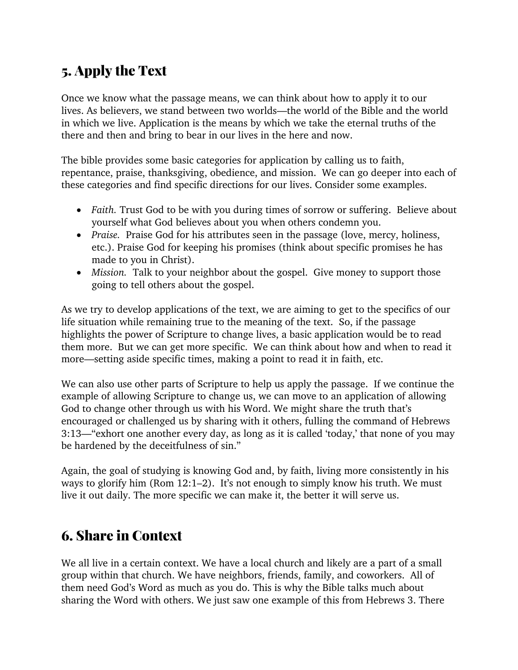## 5. Apply the Text

Once we know what the passage means, we can think about how to apply it to our lives. As believers, we stand between two worlds—the world of the Bible and the world in which we live. Application is the means by which we take the eternal truths of the there and then and bring to bear in our lives in the here and now.

The bible provides some basic categories for application by calling us to faith, repentance, praise, thanksgiving, obedience, and mission. We can go deeper into each of these categories and find specific directions for our lives. Consider some examples.

- *Faith*. Trust God to be with you during times of sorrow or suffering. Believe about yourself what God believes about you when others condemn you.
- *Praise.* Praise God for his attributes seen in the passage (love, mercy, holiness, etc.). Praise God for keeping his promises (think about specific promises he has made to you in Christ).
- *Mission.* Talk to your neighbor about the gospel. Give money to support those going to tell others about the gospel.

As we try to develop applications of the text, we are aiming to get to the specifics of our life situation while remaining true to the meaning of the text. So, if the passage highlights the power of Scripture to change lives, a basic application would be to read them more. But we can get more specific. We can think about how and when to read it more—setting aside specific times, making a point to read it in faith, etc.

We can also use other parts of Scripture to help us apply the passage. If we continue the example of allowing Scripture to change us, we can move to an application of allowing God to change other through us with his Word. We might share the truth that's encouraged or challenged us by sharing with it others, fulling the command of Hebrews 3:13—"exhort one another every day, as long as it is called 'today,' that none of you may be hardened by the deceitfulness of sin."

Again, the goal of studying is knowing God and, by faith, living more consistently in his ways to glorify him (Rom 12:1–2). It's not enough to simply know his truth. We must live it out daily. The more specific we can make it, the better it will serve us.

### 6. Share in Context

We all live in a certain context. We have a local church and likely are a part of a small group within that church. We have neighbors, friends, family, and coworkers. All of them need God's Word as much as you do. This is why the Bible talks much about sharing the Word with others. We just saw one example of this from Hebrews 3. There